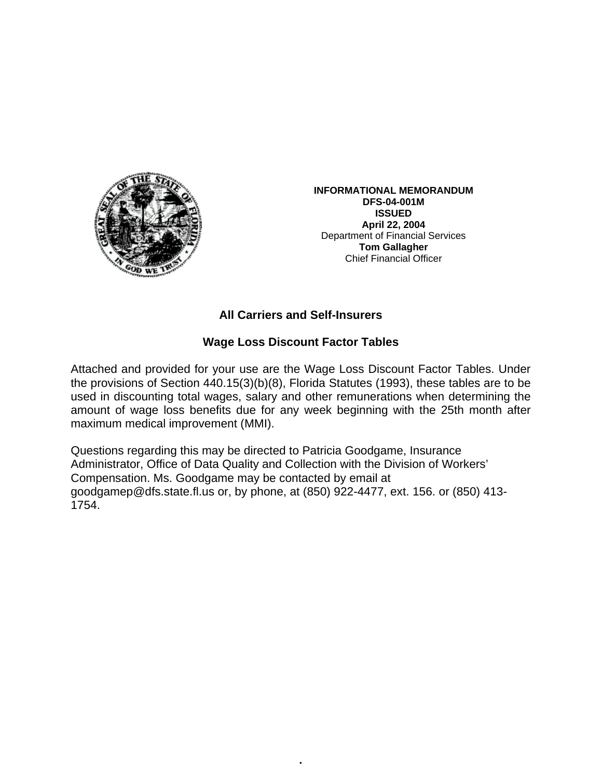

**INFORMATIONAL MEMORANDUM DFS-04-001M ISSUED April 22, 2004**  Department of Financial Services **Tom Gallagher** Chief Financial Officer

## **All Carriers and Self-Insurers**

## **Wage Loss Discount Factor Tables**

Attached and provided for your use are the Wage Loss Discount Factor Tables. Under the provisions of Section 440.15(3)(b)(8), Florida Statutes (1993), these tables are to be used in discounting total wages, salary and other remunerations when determining the amount of wage loss benefits due for any week beginning with the 25th month after maximum medical improvement (MMI).

Questions regarding this may be directed to Patricia Goodgame, Insurance Administrator, Office of Data Quality and Collection with the Division of Workers' Compensation. Ms. Goodgame may be contacted by email at goodgamep@dfs.state.fl.us or, by phone, at (850) 922-4477, ext. 156. or (850) 413- 1754.

•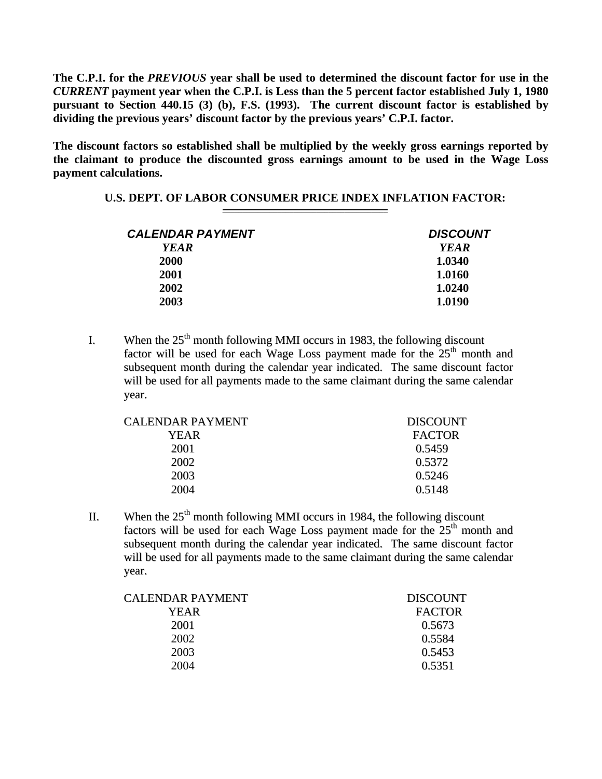**The C.P.I. for the** *PREVIOUS* **year shall be used to determined the discount factor for use in the**  *CURRENT* **payment year when the C.P.I. is Less than the 5 percent factor established July 1, 1980 pursuant to Section 440.15 (3) (b), F.S. (1993). The current discount factor is established by dividing the previous years' discount factor by the previous years' C.P.I. factor.** 

**The discount factors so established shall be multiplied by the weekly gross earnings reported by the claimant to produce the discounted gross earnings amount to be used in the Wage Loss payment calculations.** 

## **U.S. DEPT. OF LABOR CONSUMER PRICE INDEX INFLATION FACTOR:**

| <b>DISCOUNT</b> |
|-----------------|
| <b>YEAR</b>     |
| 1.0340          |
| 1.0160          |
| 1.0240          |
| 1.0190          |
|                 |

I. When the  $25<sup>th</sup>$  month following MMI occurs in 1983, the following discount factor will be used for each Wage Loss payment made for the  $25<sup>th</sup>$  month and subsequent month during the calendar year indicated. The same discount factor will be used for all payments made to the same claimant during the same calendar year.

| CALENDAR PAYMENT | <b>DISCOUNT</b> |
|------------------|-----------------|
| YEAR             | <b>FACTOR</b>   |
| 2001             | 0.5459          |
| 2002             | 0.5372          |
| 2003             | 0.5246          |
| 2004             | 0.5148          |
|                  |                 |

II. When the  $25<sup>th</sup>$  month following MMI occurs in 1984, the following discount factors will be used for each Wage Loss payment made for the  $25<sup>th</sup>$  month and subsequent month during the calendar year indicated. The same discount factor will be used for all payments made to the same claimant during the same calendar year.

| <b>DISCOUNT</b> |
|-----------------|
| <b>FACTOR</b>   |
| 0.5673          |
| 0.5584          |
| 0.5453          |
| 0.5351          |
|                 |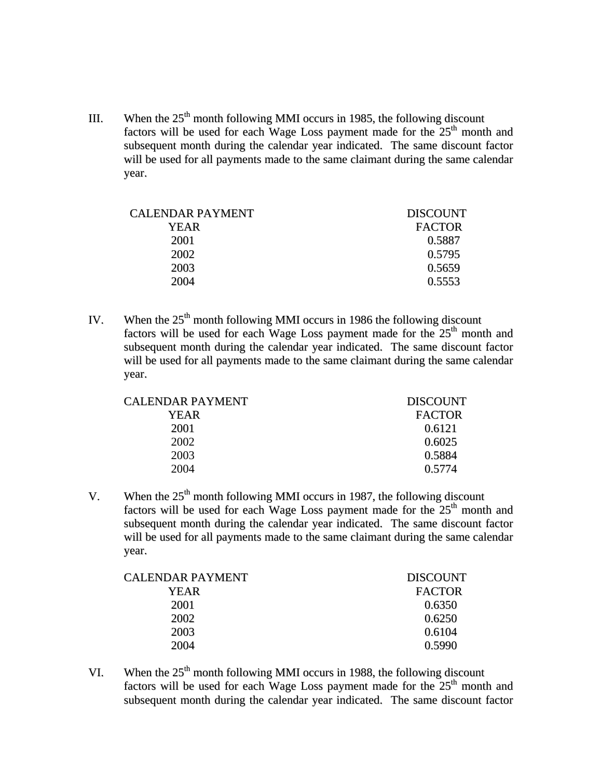III. When the  $25<sup>th</sup>$  month following MMI occurs in 1985, the following discount factors will be used for each Wage Loss payment made for the  $25<sup>th</sup>$  month and subsequent month during the calendar year indicated. The same discount factor will be used for all payments made to the same claimant during the same calendar year.

| <b>CALENDAR PAYMENT</b> | <b>DISCOUNT</b> |
|-------------------------|-----------------|
| YEAR                    | <b>FACTOR</b>   |
| 2001                    | 0.5887          |
| 2002                    | 0.5795          |
| 2003                    | 0.5659          |
| 2004                    | 0.5553          |
|                         |                 |

IV. When the  $25<sup>th</sup>$  month following MMI occurs in 1986 the following discount factors will be used for each Wage Loss payment made for the  $25<sup>th</sup>$  month and subsequent month during the calendar year indicated. The same discount factor will be used for all payments made to the same claimant during the same calendar year.

| CALENDAR PAYMENT | <b>DISCOUNT</b> |
|------------------|-----------------|
| YEAR             | <b>FACTOR</b>   |
| 2001             | 0.6121          |
| 2002             | 0.6025          |
| 2003             | 0.5884          |
| 2004             | 0.5774          |

V. When the  $25<sup>th</sup>$  month following MMI occurs in 1987, the following discount factors will be used for each Wage Loss payment made for the  $25<sup>th</sup>$  month and subsequent month during the calendar year indicated. The same discount factor will be used for all payments made to the same claimant during the same calendar year.

| CALENDAR PAYMENT | <b>DISCOUNT</b> |
|------------------|-----------------|
| YEAR             | <b>FACTOR</b>   |
| 2001             | 0.6350          |
| 2002             | 0.6250          |
| 2003             | 0.6104          |
| 2004             | 0.5990          |
|                  |                 |

VI. When the  $25<sup>th</sup>$  month following MMI occurs in 1988, the following discount factors will be used for each Wage Loss payment made for the  $25<sup>th</sup>$  month and subsequent month during the calendar year indicated. The same discount factor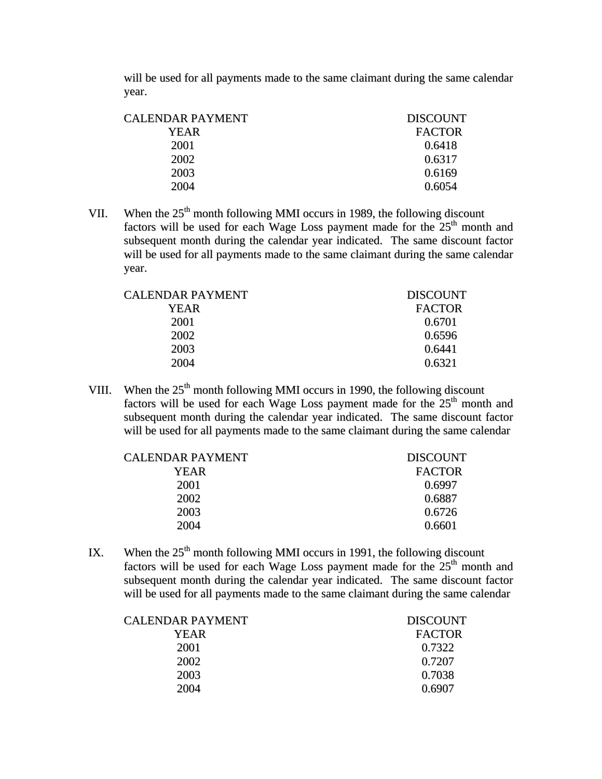will be used for all payments made to the same claimant during the same calendar year.

| CALENDAR PAYMENT | <b>DISCOUNT</b> |
|------------------|-----------------|
| YEAR             | <b>FACTOR</b>   |
| 2001             | 0.6418          |
| 2002             | 0.6317          |
| 2003             | 0.6169          |
| 2004             | 0.6054          |
|                  |                 |

VII. When the  $25<sup>th</sup>$  month following MMI occurs in 1989, the following discount factors will be used for each Wage Loss payment made for the  $25<sup>th</sup>$  month and subsequent month during the calendar year indicated. The same discount factor will be used for all payments made to the same claimant during the same calendar year.

| CALENDAR PAYMENT | <b>DISCOUNT</b> |
|------------------|-----------------|
| YEAR             | <b>FACTOR</b>   |
| 2001             | 0.6701          |
| 2002             | 0.6596          |
| 2003             | 0.6441          |
| 2004             | 0.6321          |

VIII. When the  $25<sup>th</sup>$  month following MMI occurs in 1990, the following discount factors will be used for each Wage Loss payment made for the  $25<sup>th</sup>$  month and subsequent month during the calendar year indicated. The same discount factor will be used for all payments made to the same claimant during the same calendar

| CALENDAR PAYMENT | <b>DISCOUNT</b> |
|------------------|-----------------|
| YEAR             | <b>FACTOR</b>   |
| 2001             | 0.6997          |
| 2002             | 0.6887          |
| 2003             | 0.6726          |
| 2004             | 0.6601          |
|                  |                 |

IX. When the  $25<sup>th</sup>$  month following MMI occurs in 1991, the following discount factors will be used for each Wage Loss payment made for the  $25<sup>th</sup>$  month and subsequent month during the calendar year indicated. The same discount factor will be used for all payments made to the same claimant during the same calendar

| <b>CALENDAR PAYMENT</b> | <b>DISCOUNT</b> |
|-------------------------|-----------------|
| YEAR                    | <b>FACTOR</b>   |
| 2001                    | 0.7322          |
| 2002                    | 0.7207          |
| 2003                    | 0.7038          |
| 2004                    | 0.6907          |
|                         |                 |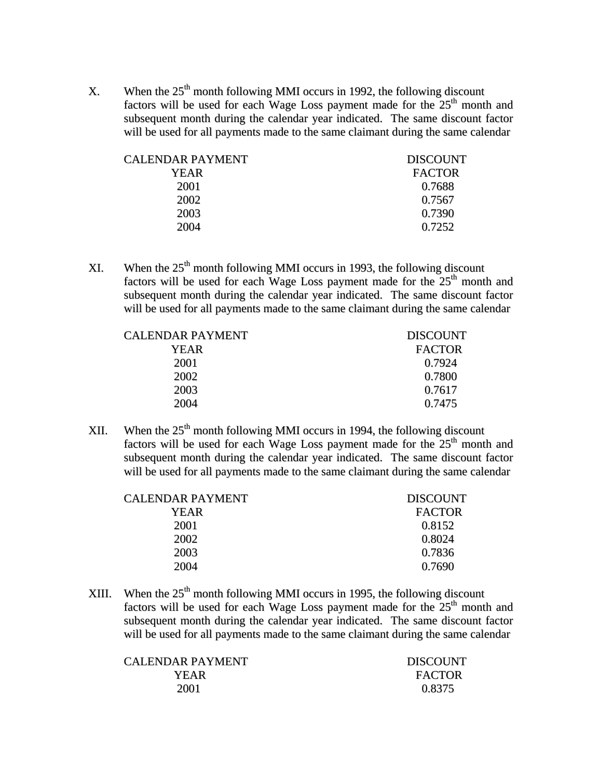X. When the  $25<sup>th</sup>$  month following MMI occurs in 1992, the following discount factors will be used for each Wage Loss payment made for the  $25<sup>th</sup>$  month and subsequent month during the calendar year indicated. The same discount factor will be used for all payments made to the same claimant during the same calendar

| CALENDAR PAYMENT | <b>DISCOUNT</b> |
|------------------|-----------------|
| <b>YEAR</b>      | <b>FACTOR</b>   |
| 2001             | 0.7688          |
| 2002             | 0.7567          |
| 2003             | 0.7390          |
| 2004             | 0.7252          |

XI. When the  $25<sup>th</sup>$  month following MMI occurs in 1993, the following discount factors will be used for each Wage Loss payment made for the  $25<sup>th</sup>$  month and subsequent month during the calendar year indicated. The same discount factor will be used for all payments made to the same claimant during the same calendar

| CALENDAR PAYMENT | <b>DISCOUNT</b> |
|------------------|-----------------|
| YEAR             | <b>FACTOR</b>   |
| 2001             | 0.7924          |
| 2002             | 0.7800          |
| 2003             | 0.7617          |
| 2004             | 0.7475          |
|                  |                 |

XII. When the  $25<sup>th</sup>$  month following MMI occurs in 1994, the following discount factors will be used for each Wage Loss payment made for the  $25<sup>th</sup>$  month and subsequent month during the calendar year indicated. The same discount factor will be used for all payments made to the same claimant during the same calendar

| <b>YEAR</b><br>0.8152<br>2001<br>2002<br>0.8024<br>2003<br>0.7836<br>2004<br>0.7690 | CALENDAR PAYMENT | <b>DISCOUNT</b> |
|-------------------------------------------------------------------------------------|------------------|-----------------|
|                                                                                     |                  | <b>FACTOR</b>   |
|                                                                                     |                  |                 |
|                                                                                     |                  |                 |
|                                                                                     |                  |                 |
|                                                                                     |                  |                 |

XIII. When the  $25<sup>th</sup>$  month following MMI occurs in 1995, the following discount factors will be used for each Wage Loss payment made for the  $25<sup>th</sup>$  month and subsequent month during the calendar year indicated. The same discount factor will be used for all payments made to the same claimant during the same calendar

| CALENDAR PAYMENT | <b>DISCOUNT</b> |
|------------------|-----------------|
| YEAR             | <b>FACTOR</b>   |
| 2001             | 0.8375          |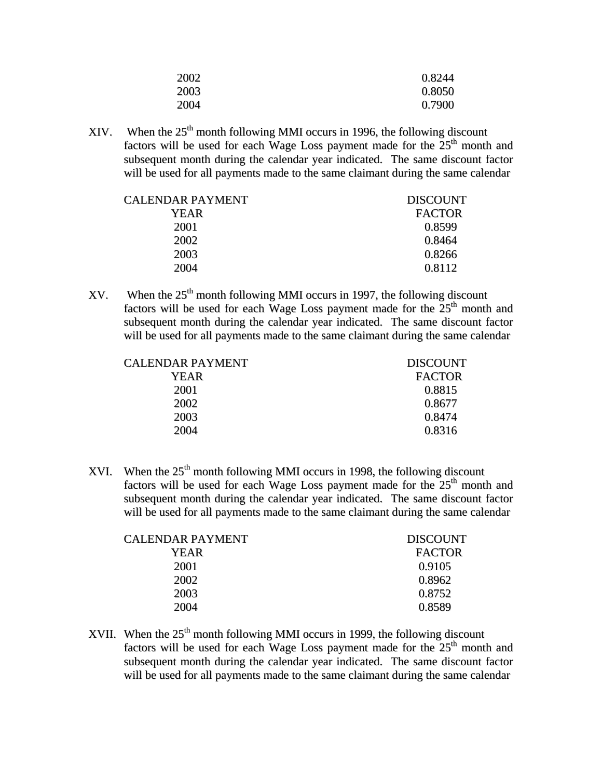| 2002 | 0.8244 |
|------|--------|
| 2003 | 0.8050 |
| 2004 | 0.7900 |

XIV. When the  $25<sup>th</sup>$  month following MMI occurs in 1996, the following discount factors will be used for each Wage Loss payment made for the  $25<sup>th</sup>$  month and subsequent month during the calendar year indicated. The same discount factor will be used for all payments made to the same claimant during the same calendar

| CALENDAR PAYMENT | <b>DISCOUNT</b> |
|------------------|-----------------|
| YEAR             | <b>FACTOR</b>   |
| 2001             | 0.8599          |
| 2002             | 0.8464          |
| 2003             | 0.8266          |
| 2004             | 0.8112          |
|                  |                 |

 $XV$ . When the  $25<sup>th</sup>$  month following MMI occurs in 1997, the following discount factors will be used for each Wage Loss payment made for the  $25<sup>th</sup>$  month and subsequent month during the calendar year indicated. The same discount factor will be used for all payments made to the same claimant during the same calendar

| CALENDAR PAYMENT | <b>DISCOUNT</b> |
|------------------|-----------------|
| YEAR             | <b>FACTOR</b>   |
| 2001             | 0.8815          |
| 2002             | 0.8677          |
| 2003             | 0.8474          |
| 2004             | 0.8316          |
|                  |                 |

XVI. When the  $25<sup>th</sup>$  month following MMI occurs in 1998, the following discount factors will be used for each Wage Loss payment made for the  $25<sup>th</sup>$  month and subsequent month during the calendar year indicated. The same discount factor will be used for all payments made to the same claimant during the same calendar

| <b>DISCOUNT</b> |
|-----------------|
| <b>FACTOR</b>   |
| 0.9105          |
| 0.8962          |
| 0.8752          |
| 0.8589          |
|                 |

XVII. When the  $25<sup>th</sup>$  month following MMI occurs in 1999, the following discount factors will be used for each Wage Loss payment made for the  $25<sup>th</sup>$  month and subsequent month during the calendar year indicated. The same discount factor will be used for all payments made to the same claimant during the same calendar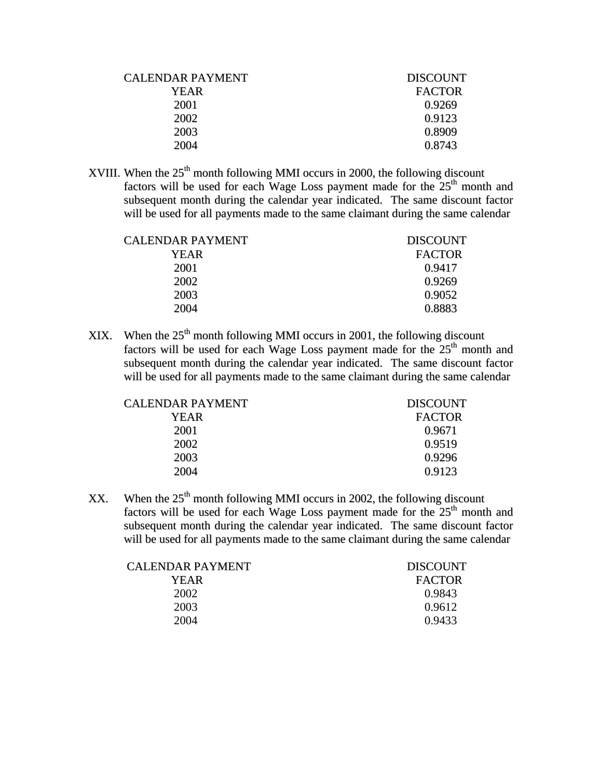| CALENDAR PAYMENT | <b>DISCOUNT</b> |
|------------------|-----------------|
| YEAR             | <b>FACTOR</b>   |
| 2001             | 0.9269          |
| 2002             | 0.9123          |
| 2003             | 0.8909          |
| 2004             | 0.8743          |
|                  |                 |

XVIII. When the  $25<sup>th</sup>$  month following MMI occurs in 2000, the following discount factors will be used for each Wage Loss payment made for the  $25<sup>th</sup>$  month and subsequent month during the calendar year indicated. The same discount factor will be used for all payments made to the same claimant during the same calendar

| <b>DISCOUNT</b> |
|-----------------|
| <b>FACTOR</b>   |
| 0.9417          |
| 0.9269          |
| 0.9052          |
| 0.8883          |
|                 |

XIX. When the  $25<sup>th</sup>$  month following MMI occurs in 2001, the following discount factors will be used for each Wage Loss payment made for the  $25<sup>th</sup>$  month and subsequent month during the calendar year indicated. The same discount factor will be used for all payments made to the same claimant during the same calendar

| <b>DISCOUNT</b> |
|-----------------|
| <b>FACTOR</b>   |
| 0.9671          |
| 0.9519          |
| 0.9296          |
| 0.9123          |
|                 |

XX. When the  $25<sup>th</sup>$  month following MMI occurs in 2002, the following discount factors will be used for each Wage Loss payment made for the  $25<sup>th</sup>$  month and subsequent month during the calendar year indicated. The same discount factor will be used for all payments made to the same claimant during the same calendar

| CALENDAR PAYMENT | <b>DISCOUNT</b> |
|------------------|-----------------|
| YEAR.            | <b>FACTOR</b>   |
| 2002             | 0.9843          |
| 2003             | 0.9612          |
| 2004             | 0.9433          |
|                  |                 |